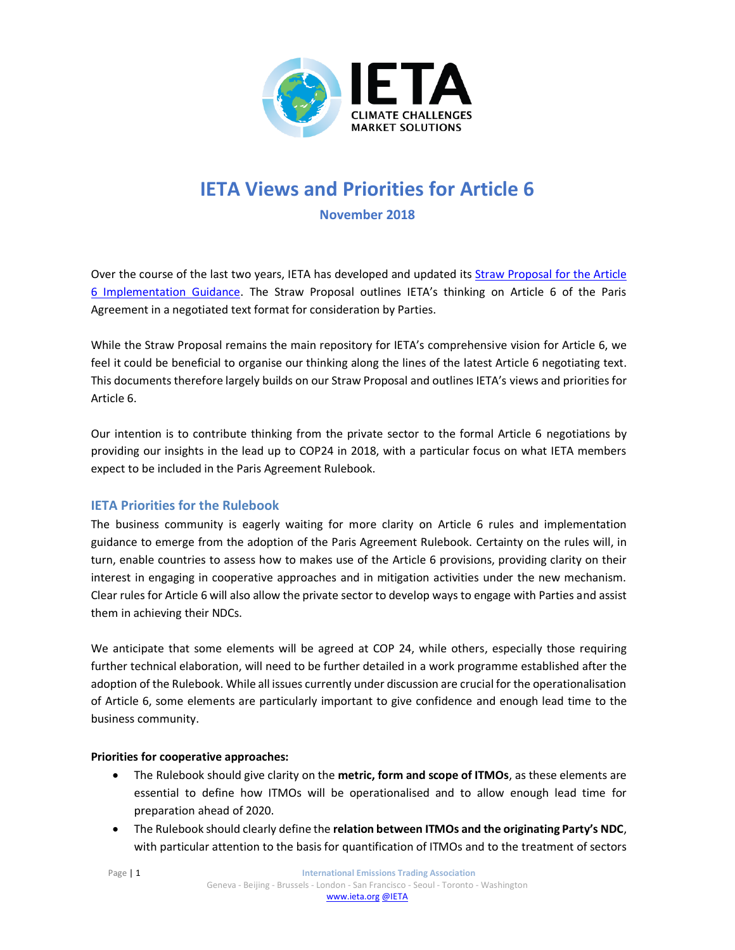

# **IETA Views and Priorities for Article 6 November 2018**

Over the course of the last two years, IETA has developed and updated it[s Straw Proposal for the Article](http://ieta.org/resources/International_WG/2018/IETA%20Article%206%20Straw%20Proposal%20November%202017.pdf)  [6 Implementation Guidance](http://ieta.org/resources/International_WG/2018/IETA%20Article%206%20Straw%20Proposal%20November%202017.pdf). The Straw Proposal outlines IETA's thinking on Article 6 of the Paris Agreement in a negotiated text format for consideration by Parties.

While the Straw Proposal remains the main repository for IETA's comprehensive vision for Article 6, we feel it could be beneficial to organise our thinking along the lines of the latest Article 6 negotiating text. This documents therefore largely builds on our Straw Proposal and outlines IETA's views and priorities for Article 6.

Our intention is to contribute thinking from the private sector to the formal Article 6 negotiations by providing our insights in the lead up to COP24 in 2018, with a particular focus on what IETA members expect to be included in the Paris Agreement Rulebook.

# **IETA Priorities for the Rulebook**

The business community is eagerly waiting for more clarity on Article 6 rules and implementation guidance to emerge from the adoption of the Paris Agreement Rulebook. Certainty on the rules will, in turn, enable countries to assess how to makes use of the Article 6 provisions, providing clarity on their interest in engaging in cooperative approaches and in mitigation activities under the new mechanism. Clear rules for Article 6 will also allow the private sector to develop ways to engage with Parties and assist them in achieving their NDCs.

We anticipate that some elements will be agreed at COP 24, while others, especially those requiring further technical elaboration, will need to be further detailed in a work programme established after the adoption of the Rulebook. While all issues currently under discussion are crucial for the operationalisation of Article 6, some elements are particularly important to give confidence and enough lead time to the business community.

#### **Priorities for cooperative approaches:**

- The Rulebook should give clarity on the **metric, form and scope of ITMOs**, as these elements are essential to define how ITMOs will be operationalised and to allow enough lead time for preparation ahead of 2020.
- The Rulebook should clearly define the **relation between ITMOs and the originating Party's NDC**, with particular attention to the basis for quantification of ITMOs and to the treatment of sectors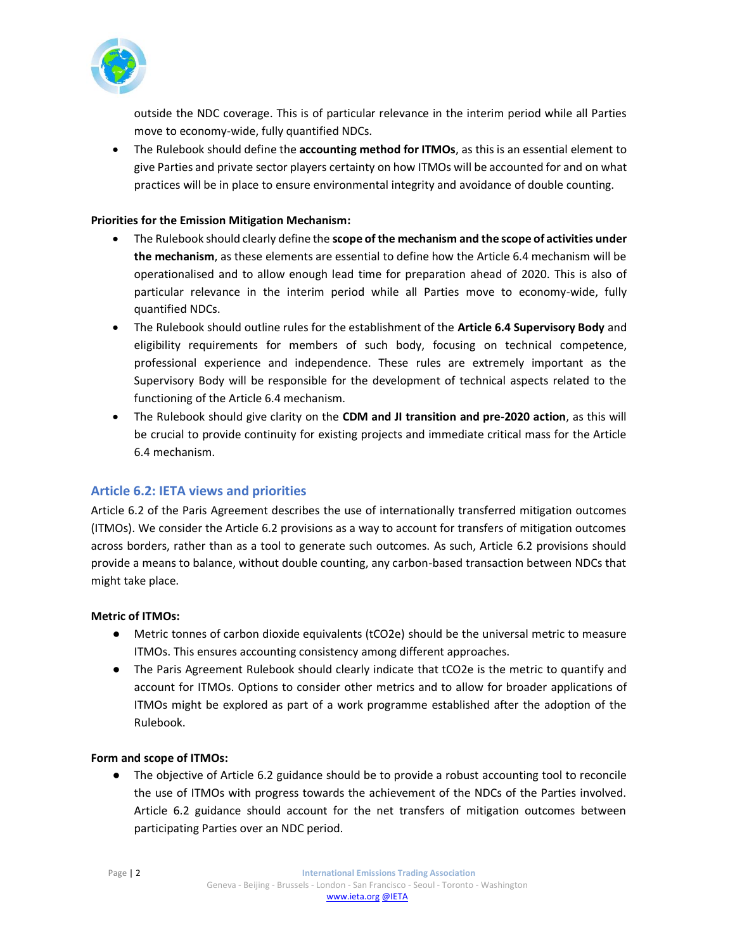

outside the NDC coverage. This is of particular relevance in the interim period while all Parties move to economy-wide, fully quantified NDCs.

• The Rulebook should define the **accounting method for ITMOs**, as this is an essential element to give Parties and private sector players certainty on how ITMOs will be accounted for and on what practices will be in place to ensure environmental integrity and avoidance of double counting.

#### **Priorities for the Emission Mitigation Mechanism:**

- The Rulebook should clearly define the **scope of the mechanism and the scope of activities under the mechanism**, as these elements are essential to define how the Article 6.4 mechanism will be operationalised and to allow enough lead time for preparation ahead of 2020. This is also of particular relevance in the interim period while all Parties move to economy-wide, fully quantified NDCs.
- The Rulebook should outline rules for the establishment of the **Article 6.4 Supervisory Body** and eligibility requirements for members of such body, focusing on technical competence, professional experience and independence. These rules are extremely important as the Supervisory Body will be responsible for the development of technical aspects related to the functioning of the Article 6.4 mechanism.
- The Rulebook should give clarity on the **CDM and JI transition and pre-2020 action**, as this will be crucial to provide continuity for existing projects and immediate critical mass for the Article 6.4 mechanism.

# **Article 6.2: IETA views and priorities**

Article 6.2 of the Paris Agreement describes the use of internationally transferred mitigation outcomes (ITMOs). We consider the Article 6.2 provisions as a way to account for transfers of mitigation outcomes across borders, rather than as a tool to generate such outcomes. As such, Article 6.2 provisions should provide a means to balance, without double counting, any carbon-based transaction between NDCs that might take place.

# **Metric of ITMOs:**

- Metric tonnes of carbon dioxide equivalents (tCO2e) should be the universal metric to measure ITMOs. This ensures accounting consistency among different approaches.
- The Paris Agreement Rulebook should clearly indicate that tCO2e is the metric to quantify and account for ITMOs. Options to consider other metrics and to allow for broader applications of ITMOs might be explored as part of a work programme established after the adoption of the Rulebook.

#### **Form and scope of ITMOs:**

● The objective of Article 6.2 guidance should be to provide a robust accounting tool to reconcile the use of ITMOs with progress towards the achievement of the NDCs of the Parties involved. Article 6.2 guidance should account for the net transfers of mitigation outcomes between participating Parties over an NDC period.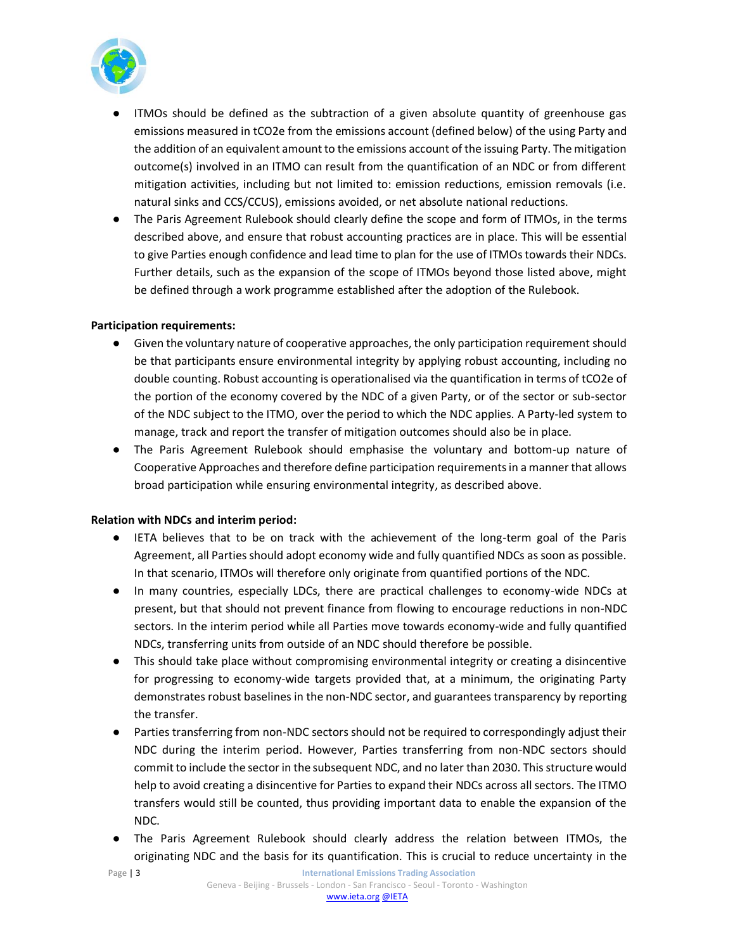

- ITMOs should be defined as the subtraction of a given absolute quantity of greenhouse gas emissions measured in tCO2e from the emissions account (defined below) of the using Party and the addition of an equivalent amount to the emissions account of the issuing Party. The mitigation outcome(s) involved in an ITMO can result from the quantification of an NDC or from different mitigation activities, including but not limited to: emission reductions, emission removals (i.e. natural sinks and CCS/CCUS), emissions avoided, or net absolute national reductions.
- The Paris Agreement Rulebook should clearly define the scope and form of ITMOs, in the terms described above, and ensure that robust accounting practices are in place. This will be essential to give Parties enough confidence and lead time to plan for the use of ITMOs towards their NDCs. Further details, such as the expansion of the scope of ITMOs beyond those listed above, might be defined through a work programme established after the adoption of the Rulebook.

#### **Participation requirements:**

- Given the voluntary nature of cooperative approaches, the only participation requirement should be that participants ensure environmental integrity by applying robust accounting, including no double counting. Robust accounting is operationalised via the quantification in terms of tCO2e of the portion of the economy covered by the NDC of a given Party, or of the sector or sub-sector of the NDC subject to the ITMO, over the period to which the NDC applies. A Party-led system to manage, track and report the transfer of mitigation outcomes should also be in place.
- The Paris Agreement Rulebook should emphasise the voluntary and bottom-up nature of Cooperative Approaches and therefore define participation requirements in a manner that allows broad participation while ensuring environmental integrity, as described above.

#### **Relation with NDCs and interim period:**

- IETA believes that to be on track with the achievement of the long-term goal of the Paris Agreement, all Parties should adopt economy wide and fully quantified NDCs as soon as possible. In that scenario, ITMOs will therefore only originate from quantified portions of the NDC.
- In many countries, especially LDCs, there are practical challenges to economy-wide NDCs at present, but that should not prevent finance from flowing to encourage reductions in non-NDC sectors. In the interim period while all Parties move towards economy-wide and fully quantified NDCs, transferring units from outside of an NDC should therefore be possible.
- This should take place without compromising environmental integrity or creating a disincentive for progressing to economy-wide targets provided that, at a minimum, the originating Party demonstrates robust baselines in the non-NDC sector, and guarantees transparency by reporting the transfer.
- Parties transferring from non-NDC sectors should not be required to correspondingly adjust their NDC during the interim period. However, Parties transferring from non-NDC sectors should commit to include the sector in the subsequent NDC, and no later than 2030. This structure would help to avoid creating a disincentive for Parties to expand their NDCs across all sectors. The ITMO transfers would still be counted, thus providing important data to enable the expansion of the NDC.
- The Paris Agreement Rulebook should clearly address the relation between ITMOs, the originating NDC and the basis for its quantification. This is crucial to reduce uncertainty in the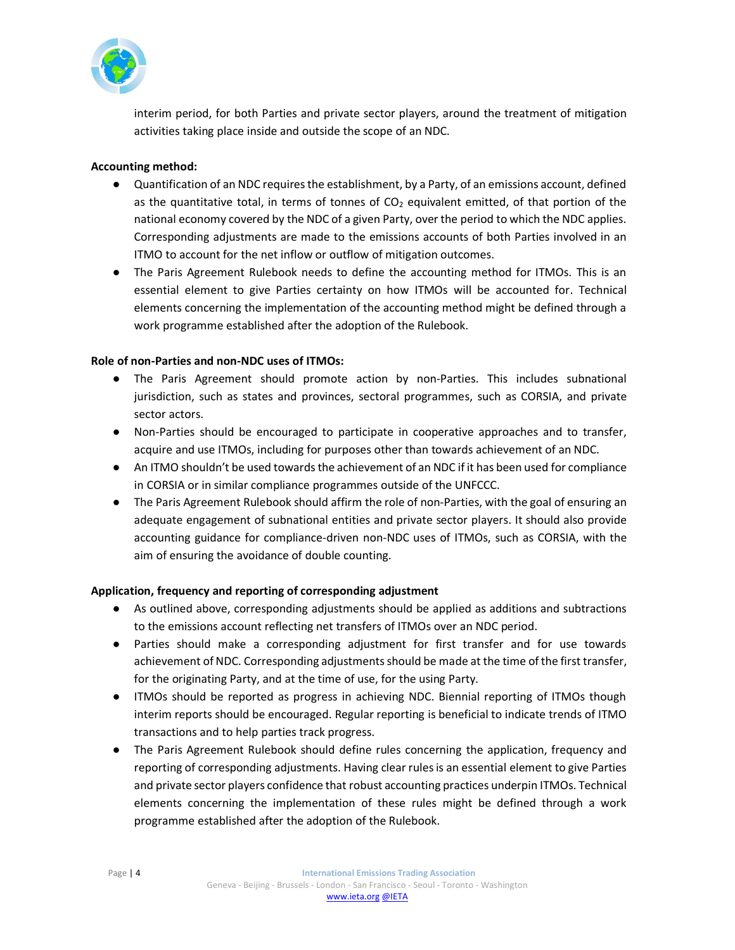

interim period, for both Parties and private sector players, around the treatment of mitigation activities taking place inside and outside the scope of an NDC.

#### **Accounting method:**

- Quantification of an NDC requires the establishment, by a Party, of an emissions account, defined as the quantitative total, in terms of tonnes of  $CO<sub>2</sub>$  equivalent emitted, of that portion of the national economy covered by the NDC of a given Party, over the period to which the NDC applies. Corresponding adjustments are made to the emissions accounts of both Parties involved in an ITMO to account for the net inflow or outflow of mitigation outcomes.
- The Paris Agreement Rulebook needs to define the accounting method for ITMOs. This is an essential element to give Parties certainty on how ITMOs will be accounted for. Technical elements concerning the implementation of the accounting method might be defined through a work programme established after the adoption of the Rulebook.

#### **Role of non-Parties and non-NDC uses of ITMOs:**

- The Paris Agreement should promote action by non-Parties. This includes subnational jurisdiction, such as states and provinces, sectoral programmes, such as CORSIA, and private sector actors.
- Non-Parties should be encouraged to participate in cooperative approaches and to transfer, acquire and use ITMOs, including for purposes other than towards achievement of an NDC.
- An ITMO shouldn't be used towards the achievement of an NDC if it has been used for compliance in CORSIA or in similar compliance programmes outside of the UNFCCC.
- The Paris Agreement Rulebook should affirm the role of non-Parties, with the goal of ensuring an adequate engagement of subnational entities and private sector players. It should also provide accounting guidance for compliance-driven non-NDC uses of ITMOs, such as CORSIA, with the aim of ensuring the avoidance of double counting.

# **Application, frequency and reporting of corresponding adjustment**

- As outlined above, corresponding adjustments should be applied as additions and subtractions to the emissions account reflecting net transfers of ITMOs over an NDC period.
- Parties should make a corresponding adjustment for first transfer and for use towards achievement of NDC. Corresponding adjustments should be made at the time of the first transfer, for the originating Party, and at the time of use, for the using Party.
- ITMOs should be reported as progress in achieving NDC. Biennial reporting of ITMOs though interim reports should be encouraged. Regular reporting is beneficial to indicate trends of ITMO transactions and to help parties track progress.
- The Paris Agreement Rulebook should define rules concerning the application, frequency and reporting of corresponding adjustments. Having clear rules is an essential element to give Parties and private sector players confidence that robust accounting practices underpin ITMOs. Technical elements concerning the implementation of these rules might be defined through a work programme established after the adoption of the Rulebook.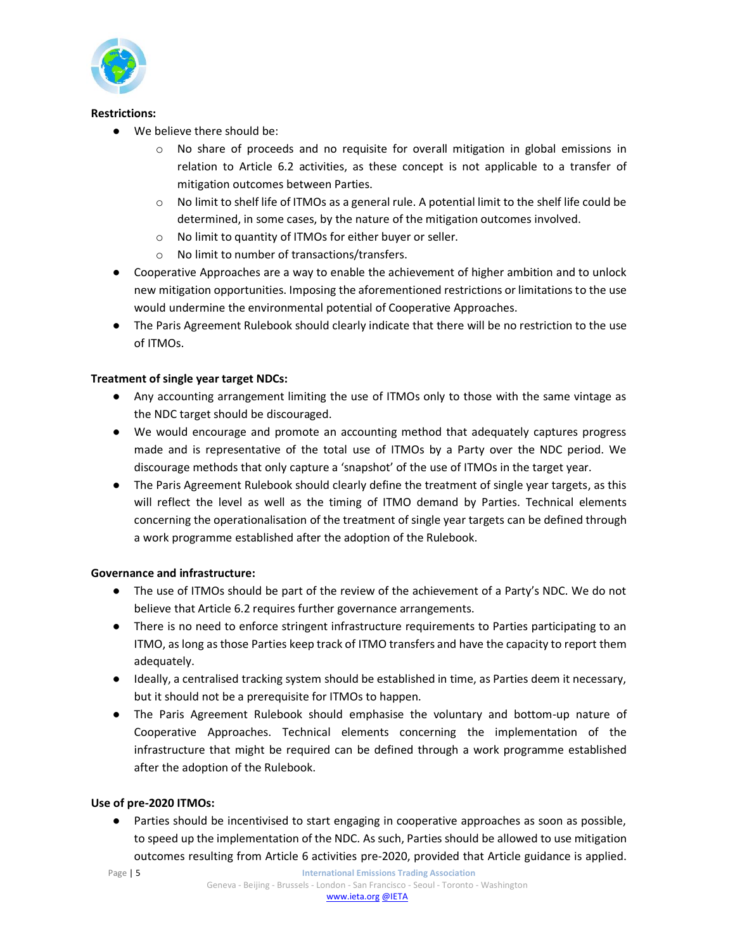

#### **Restrictions:**

- We believe there should be:
	- $\circ$  No share of proceeds and no requisite for overall mitigation in global emissions in relation to Article 6.2 activities, as these concept is not applicable to a transfer of mitigation outcomes between Parties.
	- $\circ$  No limit to shelf life of ITMOs as a general rule. A potential limit to the shelf life could be determined, in some cases, by the nature of the mitigation outcomes involved.
	- o No limit to quantity of ITMOs for either buyer or seller.
	- o No limit to number of transactions/transfers.
- Cooperative Approaches are a way to enable the achievement of higher ambition and to unlock new mitigation opportunities. Imposing the aforementioned restrictions or limitations to the use would undermine the environmental potential of Cooperative Approaches.
- The Paris Agreement Rulebook should clearly indicate that there will be no restriction to the use of ITMOs.

# **Treatment of single year target NDCs:**

- Any accounting arrangement limiting the use of ITMOs only to those with the same vintage as the NDC target should be discouraged.
- We would encourage and promote an accounting method that adequately captures progress made and is representative of the total use of ITMOs by a Party over the NDC period. We discourage methods that only capture a 'snapshot' of the use of ITMOs in the target year.
- The Paris Agreement Rulebook should clearly define the treatment of single year targets, as this will reflect the level as well as the timing of ITMO demand by Parties. Technical elements concerning the operationalisation of the treatment of single year targets can be defined through a work programme established after the adoption of the Rulebook.

# **Governance and infrastructure:**

- The use of ITMOs should be part of the review of the achievement of a Party's NDC. We do not believe that Article 6.2 requires further governance arrangements.
- There is no need to enforce stringent infrastructure requirements to Parties participating to an ITMO, as long as those Parties keep track of ITMO transfers and have the capacity to report them adequately.
- Ideally, a centralised tracking system should be established in time, as Parties deem it necessary, but it should not be a prerequisite for ITMOs to happen.
- The Paris Agreement Rulebook should emphasise the voluntary and bottom-up nature of Cooperative Approaches. Technical elements concerning the implementation of the infrastructure that might be required can be defined through a work programme established after the adoption of the Rulebook.

# **Use of pre-2020 ITMOs:**

● Parties should be incentivised to start engaging in cooperative approaches as soon as possible, to speed up the implementation of the NDC. As such, Parties should be allowed to use mitigation outcomes resulting from Article 6 activities pre-2020, provided that Article guidance is applied.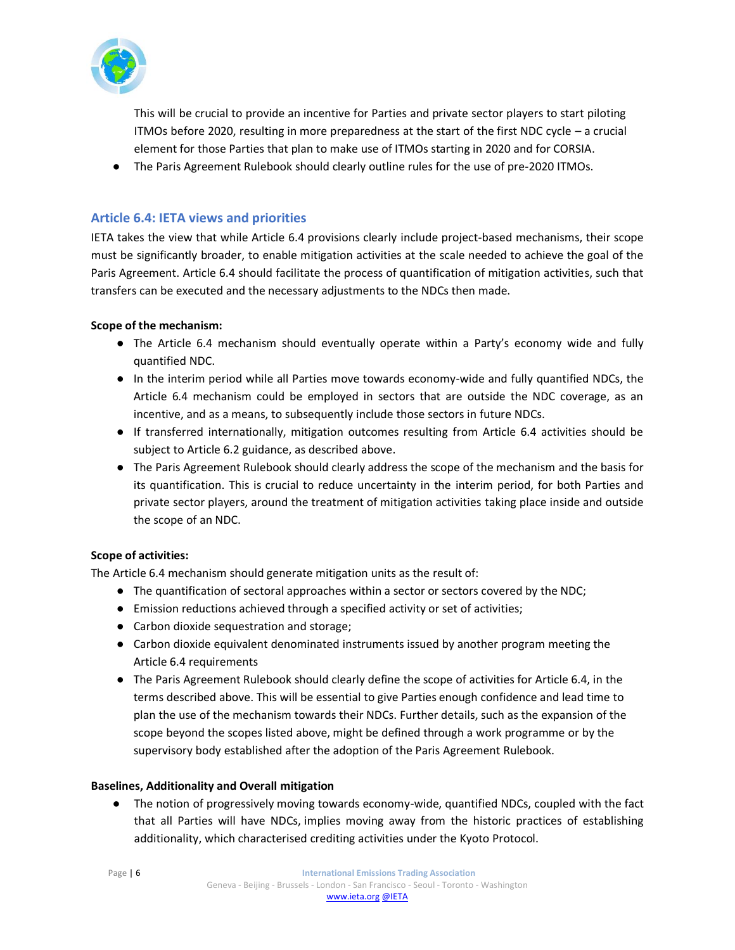

This will be crucial to provide an incentive for Parties and private sector players to start piloting ITMOs before 2020, resulting in more preparedness at the start of the first NDC cycle – a crucial element for those Parties that plan to make use of ITMOs starting in 2020 and for CORSIA.

● The Paris Agreement Rulebook should clearly outline rules for the use of pre-2020 ITMOs.

# **Article 6.4: IETA views and priorities**

IETA takes the view that while Article 6.4 provisions clearly include project-based mechanisms, their scope must be significantly broader, to enable mitigation activities at the scale needed to achieve the goal of the Paris Agreement. Article 6.4 should facilitate the process of quantification of mitigation activities, such that transfers can be executed and the necessary adjustments to the NDCs then made.

# **Scope of the mechanism:**

- The Article 6.4 mechanism should eventually operate within a Party's economy wide and fully quantified NDC.
- In the interim period while all Parties move towards economy-wide and fully quantified NDCs, the Article 6.4 mechanism could be employed in sectors that are outside the NDC coverage, as an incentive, and as a means, to subsequently include those sectors in future NDCs.
- If transferred internationally, mitigation outcomes resulting from Article 6.4 activities should be subject to Article 6.2 guidance, as described above.
- The Paris Agreement Rulebook should clearly address the scope of the mechanism and the basis for its quantification. This is crucial to reduce uncertainty in the interim period, for both Parties and private sector players, around the treatment of mitigation activities taking place inside and outside the scope of an NDC.

# **Scope of activities:**

The Article 6.4 mechanism should generate mitigation units as the result of:

- The quantification of sectoral approaches within a sector or sectors covered by the NDC;
- Emission reductions achieved through a specified activity or set of activities;
- Carbon dioxide sequestration and storage;
- Carbon dioxide equivalent denominated instruments issued by another program meeting the Article 6.4 requirements
- The Paris Agreement Rulebook should clearly define the scope of activities for Article 6.4, in the terms described above. This will be essential to give Parties enough confidence and lead time to plan the use of the mechanism towards their NDCs. Further details, such as the expansion of the scope beyond the scopes listed above, might be defined through a work programme or by the supervisory body established after the adoption of the Paris Agreement Rulebook.

# **Baselines, Additionality and Overall mitigation**

● The notion of progressively moving towards economy-wide, quantified NDCs, coupled with the fact that all Parties will have NDCs, implies moving away from the historic practices of establishing additionality, which characterised crediting activities under the Kyoto Protocol.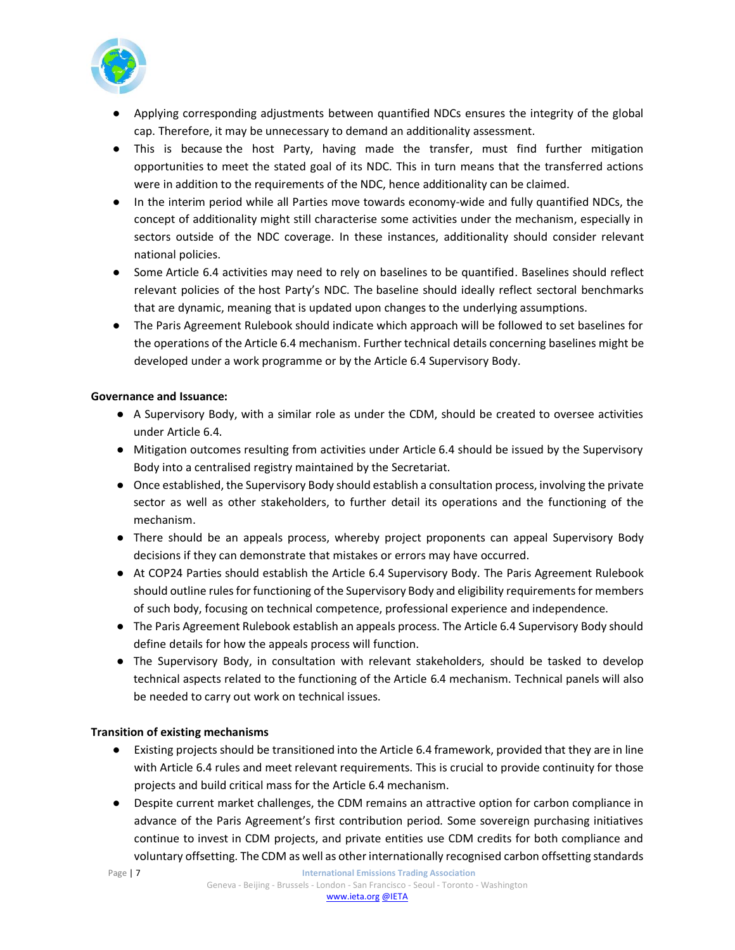

- Applying corresponding adjustments between quantified NDCs ensures the integrity of the global cap. Therefore, it may be unnecessary to demand an additionality assessment.
- This is because the host Party, having made the transfer, must find further mitigation opportunities to meet the stated goal of its NDC. This in turn means that the transferred actions were in addition to the requirements of the NDC, hence additionality can be claimed.
- In the interim period while all Parties move towards economy-wide and fully quantified NDCs, the concept of additionality might still characterise some activities under the mechanism, especially in sectors outside of the NDC coverage. In these instances, additionality should consider relevant national policies.
- Some Article 6.4 activities may need to rely on baselines to be quantified. Baselines should reflect relevant policies of the host Party's NDC. The baseline should ideally reflect sectoral benchmarks that are dynamic, meaning that is updated upon changes to the underlying assumptions.
- The Paris Agreement Rulebook should indicate which approach will be followed to set baselines for the operations of the Article 6.4 mechanism. Further technical details concerning baselines might be developed under a work programme or by the Article 6.4 Supervisory Body.

#### **Governance and Issuance:**

- A Supervisory Body, with a similar role as under the CDM, should be created to oversee activities under Article 6.4.
- Mitigation outcomes resulting from activities under Article 6.4 should be issued by the Supervisory Body into a centralised registry maintained by the Secretariat.
- Once established, the Supervisory Body should establish a consultation process, involving the private sector as well as other stakeholders, to further detail its operations and the functioning of the mechanism.
- There should be an appeals process, whereby project proponents can appeal Supervisory Body decisions if they can demonstrate that mistakes or errors may have occurred.
- At COP24 Parties should establish the Article 6.4 Supervisory Body. The Paris Agreement Rulebook should outline rules for functioning of the Supervisory Body and eligibility requirements for members of such body, focusing on technical competence, professional experience and independence.
- The Paris Agreement Rulebook establish an appeals process. The Article 6.4 Supervisory Body should define details for how the appeals process will function.
- The Supervisory Body, in consultation with relevant stakeholders, should be tasked to develop technical aspects related to the functioning of the Article 6.4 mechanism. Technical panels will also be needed to carry out work on technical issues.

# **Transition of existing mechanisms**

- Existing projects should be transitioned into the Article 6.4 framework, provided that they are in line with Article 6.4 rules and meet relevant requirements. This is crucial to provide continuity for those projects and build critical mass for the Article 6.4 mechanism.
- Despite current market challenges, the CDM remains an attractive option for carbon compliance in advance of the Paris Agreement's first contribution period. Some sovereign purchasing initiatives continue to invest in CDM projects, and private entities use CDM credits for both compliance and voluntary offsetting. The CDM as well as other internationally recognised carbon offsetting standards